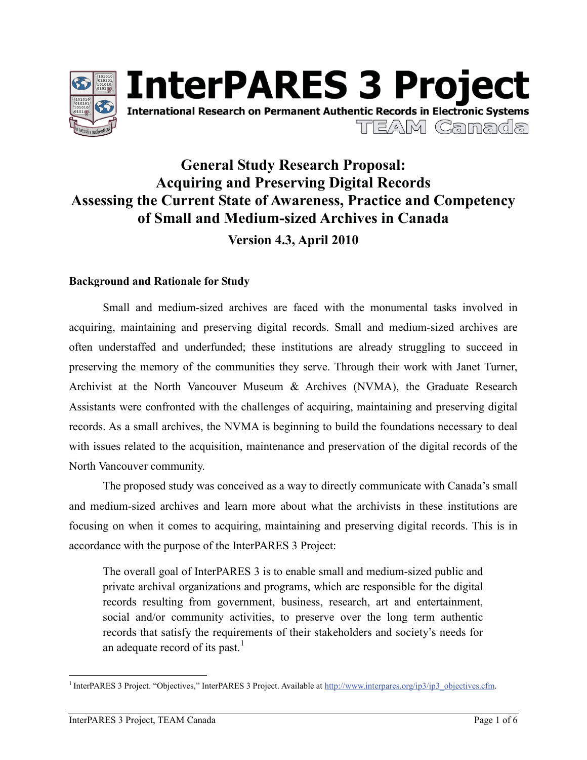

# **InterPARES 3 Project International Research on Permanent Authentic Records in Electronic Systems** TEAM Camada

# **General Study Research Proposal: Acquiring and Preserving Digital Records Assessing the Current State of Awareness, Practice and Competency of Small and Medium-sized Archives in Canada Version 4.3, April 2010**

#### **Background and Rationale for Study**

Small and medium-sized archives are faced with the monumental tasks involved in acquiring, maintaining and preserving digital records. Small and medium-sized archives are often understaffed and underfunded; these institutions are already struggling to succeed in preserving the memory of the communities they serve. Through their work with Janet Turner, Archivist at the North Vancouver Museum & Archives (NVMA), the Graduate Research Assistants were confronted with the challenges of acquiring, maintaining and preserving digital records. As a small archives, the NVMA is beginning to build the foundations necessary to deal with issues related to the acquisition, maintenance and preservation of the digital records of the North Vancouver community.

The proposed study was conceived as a way to directly communicate with Canada's small and medium-sized archives and learn more about what the archivists in these institutions are focusing on when it comes to acquiring, maintaining and preserving digital records. This is in accordance with the purpose of the InterPARES 3 Project:

The overall goal of InterPARES 3 is to enable small and medium-sized public and private archival organizations and programs, which are responsible for the digital records resulting from government, business, research, art and entertainment, social and/or community activities, to preserve over the long term authentic records that satisfy the requirements of their stakeholders and society's needs for an adequate record of its past.<sup>1</sup>

<sup>&</sup>lt;sup>1</sup> InterPARES 3 Project. "Objectives," InterPARES 3 Project. Available at http://www.interpares.org/ip3/ip3\_objectives.cfm.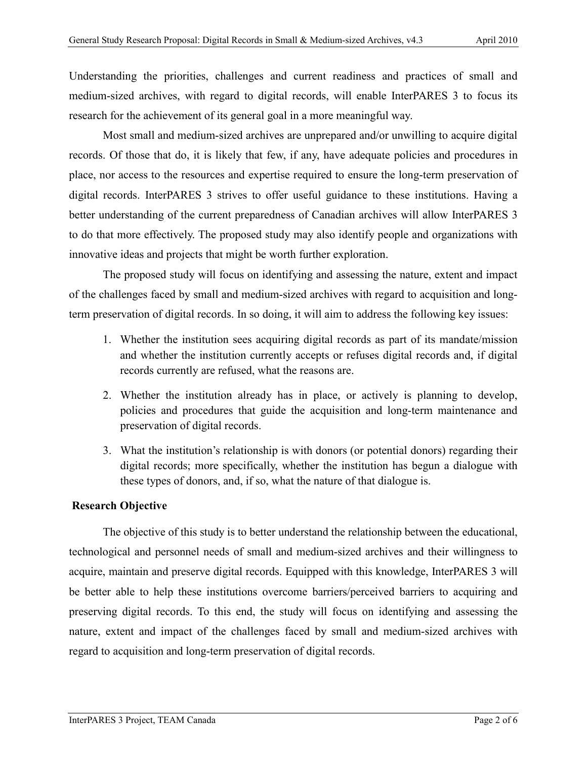Understanding the priorities, challenges and current readiness and practices of small and medium-sized archives, with regard to digital records, will enable InterPARES 3 to focus its research for the achievement of its general goal in a more meaningful way.

Most small and medium-sized archives are unprepared and/or unwilling to acquire digital records. Of those that do, it is likely that few, if any, have adequate policies and procedures in place, nor access to the resources and expertise required to ensure the long-term preservation of digital records. InterPARES 3 strives to offer useful guidance to these institutions. Having a better understanding of the current preparedness of Canadian archives will allow InterPARES 3 to do that more effectively. The proposed study may also identify people and organizations with innovative ideas and projects that might be worth further exploration.

The proposed study will focus on identifying and assessing the nature, extent and impact of the challenges faced by small and medium-sized archives with regard to acquisition and longterm preservation of digital records. In so doing, it will aim to address the following key issues:

- 1. Whether the institution sees acquiring digital records as part of its mandate/mission and whether the institution currently accepts or refuses digital records and, if digital records currently are refused, what the reasons are.
- 2. Whether the institution already has in place, or actively is planning to develop, policies and procedures that guide the acquisition and long-term maintenance and preservation of digital records.
- 3. What the institution's relationship is with donors (or potential donors) regarding their digital records; more specifically, whether the institution has begun a dialogue with these types of donors, and, if so, what the nature of that dialogue is.

### **Research Objective**

The objective of this study is to better understand the relationship between the educational, technological and personnel needs of small and medium-sized archives and their willingness to acquire, maintain and preserve digital records. Equipped with this knowledge, InterPARES 3 will be better able to help these institutions overcome barriers/perceived barriers to acquiring and preserving digital records. To this end, the study will focus on identifying and assessing the nature, extent and impact of the challenges faced by small and medium-sized archives with regard to acquisition and long-term preservation of digital records.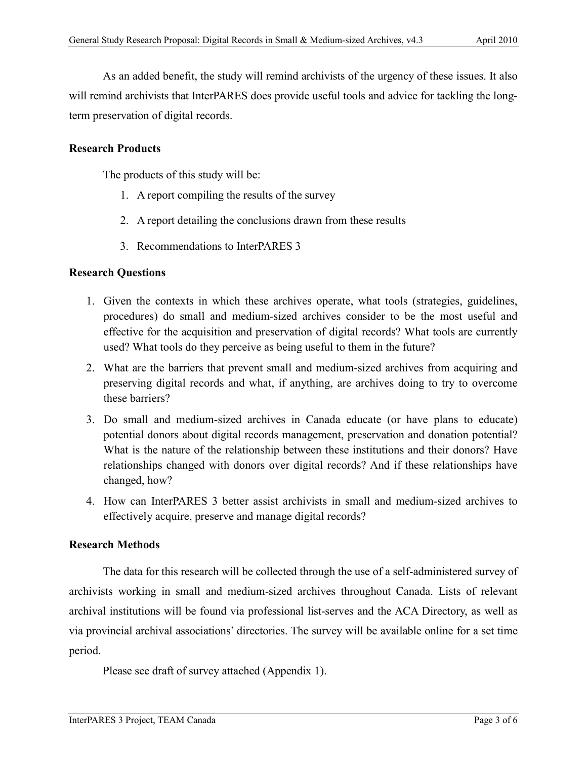As an added benefit, the study will remind archivists of the urgency of these issues. It also will remind archivists that InterPARES does provide useful tools and advice for tackling the longterm preservation of digital records.

#### **Research Products**

The products of this study will be:

- 1. A report compiling the results of the survey
- 2. A report detailing the conclusions drawn from these results
- 3. Recommendations to InterPARES 3

#### **Research Questions**

- 1. Given the contexts in which these archives operate, what tools (strategies, guidelines, procedures) do small and medium-sized archives consider to be the most useful and effective for the acquisition and preservation of digital records? What tools are currently used? What tools do they perceive as being useful to them in the future?
- 2. What are the barriers that prevent small and medium-sized archives from acquiring and preserving digital records and what, if anything, are archives doing to try to overcome these barriers?
- 3. Do small and medium-sized archives in Canada educate (or have plans to educate) potential donors about digital records management, preservation and donation potential? What is the nature of the relationship between these institutions and their donors? Have relationships changed with donors over digital records? And if these relationships have changed, how?
- 4. How can InterPARES 3 better assist archivists in small and medium-sized archives to effectively acquire, preserve and manage digital records?

#### **Research Methods**

The data for this research will be collected through the use of a self-administered survey of archivists working in small and medium-sized archives throughout Canada. Lists of relevant archival institutions will be found via professional list-serves and the ACA Directory, as well as via provincial archival associations' directories. The survey will be available online for a set time period.

Please see draft of survey attached (Appendix 1).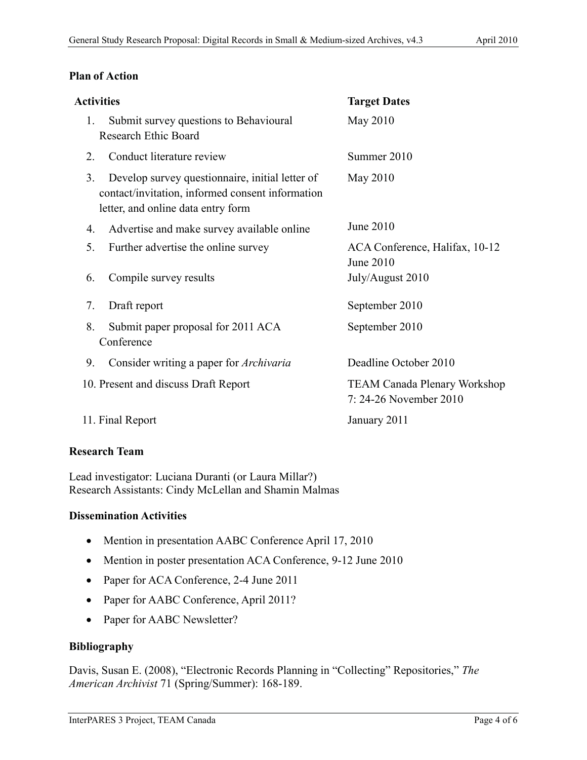#### **Plan of Action**

| <b>Activities</b>                    |                                                                                                                                           | <b>Target Dates</b>                                           |
|--------------------------------------|-------------------------------------------------------------------------------------------------------------------------------------------|---------------------------------------------------------------|
| 1.                                   | Submit survey questions to Behavioural<br><b>Research Ethic Board</b>                                                                     | May 2010                                                      |
| 2.                                   | Conduct literature review                                                                                                                 | Summer 2010                                                   |
| 3.                                   | Develop survey question aire, initial letter of<br>contact/invitation, informed consent information<br>letter, and online data entry form | May 2010                                                      |
| 4.                                   | Advertise and make survey available online                                                                                                | June 2010                                                     |
| 5.                                   | Further advertise the online survey                                                                                                       | ACA Conference, Halifax, 10-12<br>June 2010                   |
| 6.                                   | Compile survey results                                                                                                                    | July/August 2010                                              |
| 7.                                   | Draft report                                                                                                                              | September 2010                                                |
| 8.                                   | Submit paper proposal for 2011 ACA<br>Conference                                                                                          | September 2010                                                |
| 9.                                   | Consider writing a paper for <i>Archivaria</i>                                                                                            | Deadline October 2010                                         |
| 10. Present and discuss Draft Report |                                                                                                                                           | <b>TEAM Canada Plenary Workshop</b><br>7: 24-26 November 2010 |
| 11. Final Report                     |                                                                                                                                           | January 2011                                                  |
|                                      |                                                                                                                                           |                                                               |

#### **Research Team**

Lead investigator: Luciana Duranti (or Laura Millar?) Research Assistants: Cindy McLellan and Shamin Malmas

#### **Dissemination Activities**

- Mention in presentation AABC Conference April 17, 2010
- Mention in poster presentation ACA Conference, 9-12 June 2010
- Paper for ACA Conference, 2-4 June 2011
- Paper for AABC Conference, April 2011?
- Paper for AABC Newsletter?

#### **Bibliography**

Davis, Susan E. (2008), "Electronic Records Planning in "Collecting" Repositories," *The American Archivist* 71 (Spring/Summer): 168-189.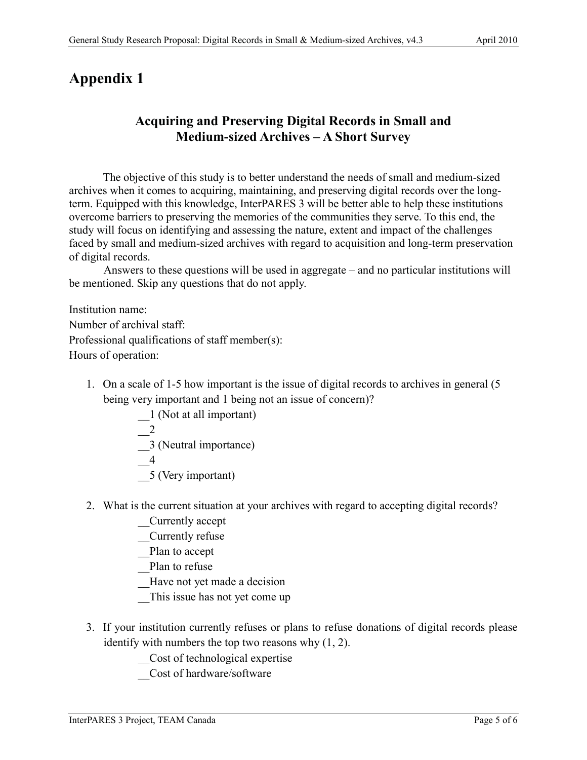## **Appendix 1**

### **Acquiring and Preserving Digital Records in Small and Medium-sized Archives – A Short Survey**

The objective of this study is to better understand the needs of small and medium-sized archives when it comes to acquiring, maintaining, and preserving digital records over the longterm. Equipped with this knowledge, InterPARES 3 will be better able to help these institutions overcome barriers to preserving the memories of the communities they serve. To this end, the study will focus on identifying and assessing the nature, extent and impact of the challenges faced by small and medium-sized archives with regard to acquisition and long-term preservation of digital records.

Answers to these questions will be used in aggregate – and no particular institutions will be mentioned. Skip any questions that do not apply.

Institution name: Number of archival staff: Professional qualifications of staff member(s): Hours of operation:

- 1. On a scale of 1-5 how important is the issue of digital records to archives in general (5 being very important and 1 being not an issue of concern)?
	- \_\_1 (Not at all important) \_\_2 \_\_3 (Neutral importance)  $\overline{\phantom{0}}$ 4 \_\_5 (Very important)
- 2. What is the current situation at your archives with regard to accepting digital records?
	- \_\_Currently accept
	- \_\_Currently refuse
	- Plan to accept
	- Plan to refuse
	- Have not yet made a decision
	- This issue has not yet come up
- 3. If your institution currently refuses or plans to refuse donations of digital records please identify with numbers the top two reasons why (1, 2).
	- \_\_Cost of technological expertise
	- \_\_Cost of hardware/software